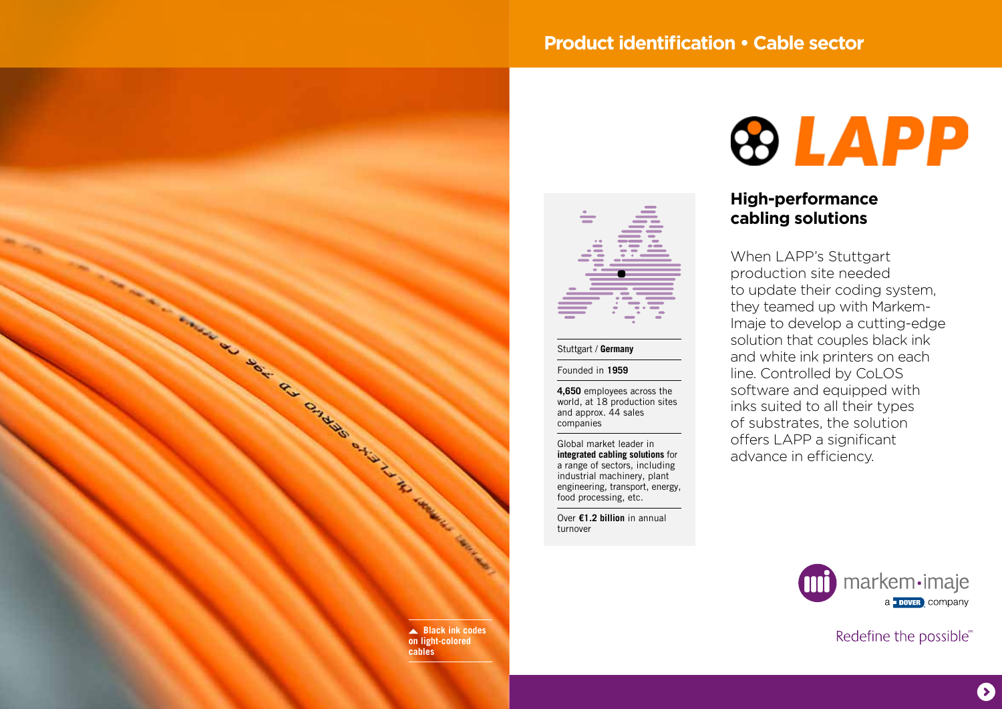# **Product identification • Cable sector**





### Stuttgart / **Germany**

#### Founded in **1959**

**4,650** employees across the world, at 18 production sites and approx. 44 sales companies

Global market leader in **integrated cabling solutions** for a range of sectors, including industrial machinery, plant engineering, transport, energy, food processing, etc.

Over **€1.2 billion** in annual turnover

# **&LAPP**

## **High-performance cabling solutions**

When LAPP's Stuttgart production site needed to update their coding system, they teamed up with Markem-Imaje to develop a cutting-edge solution that couples black ink and white ink printers on each line. Controlled by CoLOS software and equipped with inks suited to all their types of substrates, the solution offers LAPP a significant advance in efficiency.



Redefine the possible®

 $\mathbf{\Omega}$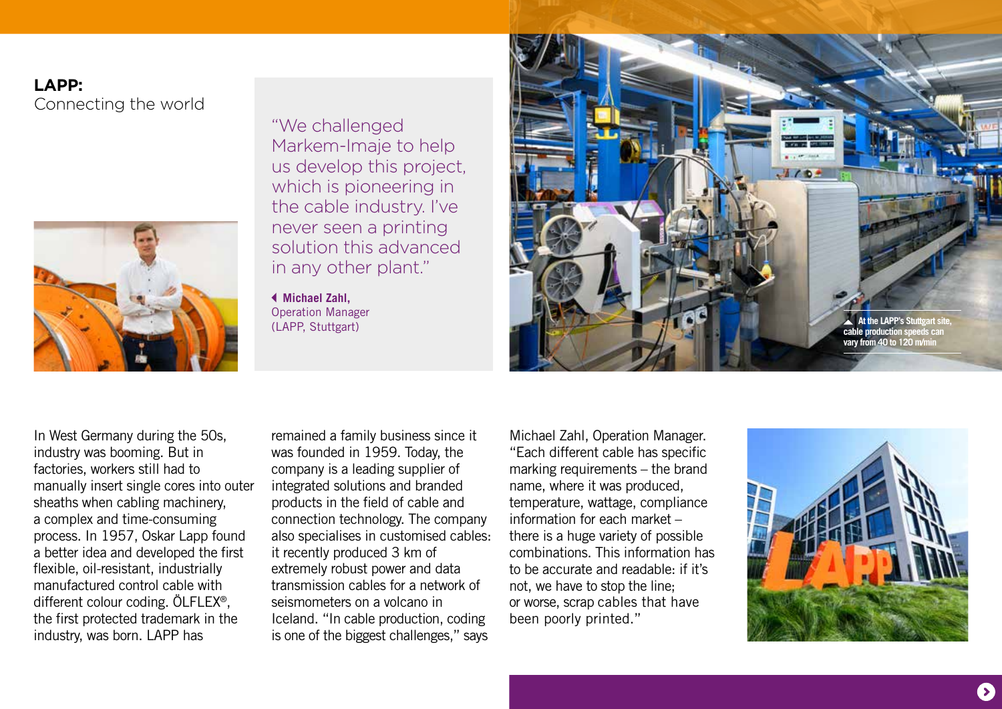# **LAPP:**  Connecting the world



"We challenged Markem-Imaje to help us develop this project, which is pioneering in the cable industry. I've never seen a printing solution this advanced in any other plant."

 **Michael Zahl,**  Operation Manager (LAPP, Stuttgart)



In West Germany during the 50s, industry was booming. But in factories, workers still had to manually insert single cores into outer sheaths when cabling machinery, a complex and time-consuming process. In 1957, Oskar Lapp found a better idea and developed the first flexible, oil-resistant, industrially manufactured control cable with different colour coding. ÖLFLEX®, the first protected trademark in the industry, was born. LAPP has

remained a family business since it was founded in 1959. Today, the company is a leading supplier of integrated solutions and branded products in the field of cable and connection technology. The company also specialises in customised cables: it recently produced 3 km of extremely robust power and data transmission cables for a network of seismometers on a volcano in Iceland. "In cable production, coding is one of the biggest challenges," says

Michael Zahl, Operation Manager. "Each different cable has specific marking requirements – the brand name, where it was produced, temperature, wattage, compliance information for each market – there is a huge variety of possible combinations. This information has to be accurate and readable: if it's not, we have to stop the line; or worse, scrap cables that have been poorly printed."